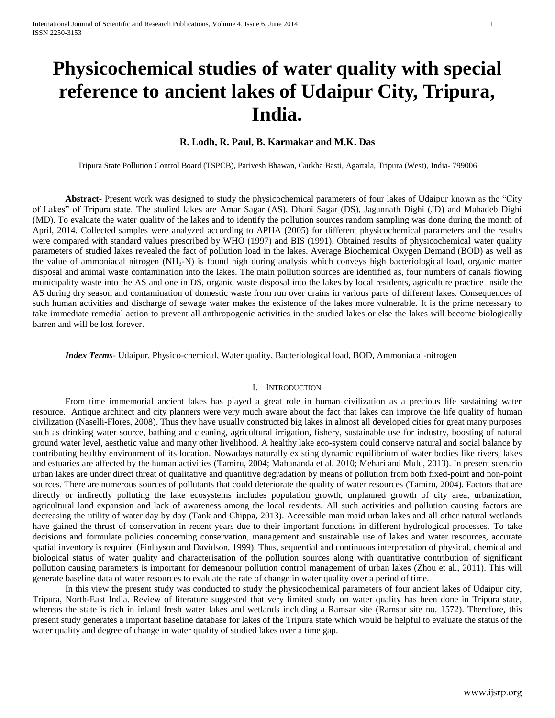# **Physicochemical studies of water quality with special reference to ancient lakes of Udaipur City, Tripura, India.**

## **R. Lodh, R. Paul, B. Karmakar and M.K. Das**

Tripura State Pollution Control Board (TSPCB), Parivesh Bhawan, Gurkha Basti, Agartala, Tripura (West), India- 799006

**Abstract-** Present work was designed to study the physicochemical parameters of four lakes of Udaipur known as the "City of Lakes" of Tripura state. The studied lakes are Amar Sagar (AS), Dhani Sagar (DS), Jagannath Dighi (JD) and Mahadeb Dighi (MD). To evaluate the water quality of the lakes and to identify the pollution sources random sampling was done during the month of April, 2014. Collected samples were analyzed according to APHA (2005) for different physicochemical parameters and the results were compared with standard values prescribed by WHO (1997) and BIS (1991). Obtained results of physicochemical water quality parameters of studied lakes revealed the fact of pollution load in the lakes. Average Biochemical Oxygen Demand (BOD) as well as the value of ammoniacal nitrogen (NH3-N) is found high during analysis which conveys high bacteriological load, organic matter disposal and animal waste contamination into the lakes. The main pollution sources are identified as, four numbers of canals flowing municipality waste into the AS and one in DS, organic waste disposal into the lakes by local residents, agriculture practice inside the AS during dry season and contamination of domestic waste from run over drains in various parts of different lakes. Consequences of such human activities and discharge of sewage water makes the existence of the lakes more vulnerable. It is the prime necessary to take immediate remedial action to prevent all anthropogenic activities in the studied lakes or else the lakes will become biologically barren and will be lost forever.

 *Index Terms*- Udaipur, Physico-chemical, Water quality, Bacteriological load, BOD, Ammoniacal-nitrogen

#### I. INTRODUCTION

From time immemorial ancient lakes has played a great role in human civilization as a precious life sustaining water resource. Antique architect and city planners were very much aware about the fact that lakes can improve the life quality of human civilization (Naselli-Flores, 2008). Thus they have usually constructed big lakes in almost all developed cities for great many purposes such as drinking water source, bathing and cleaning, agricultural irrigation, fishery, sustainable use for industry, boosting of natural ground water level, aesthetic value and many other livelihood. A healthy lake eco-system could conserve natural and social balance by contributing healthy environment of its location. Nowadays naturally existing dynamic equilibrium of water bodies like rivers, lakes and estuaries are affected by the human activities (Tamiru, 2004; Mahananda et al. 2010; Mehari and Mulu, 2013). In present scenario urban lakes are under direct threat of qualitative and quantitive degradation by means of pollution from both fixed-point and non-point sources. There are numerous sources of pollutants that could deteriorate the quality of water resources (Tamiru, 2004). Factors that are directly or indirectly polluting the lake ecosystems includes population growth, unplanned growth of city area, urbanization, agricultural land expansion and lack of awareness among the local residents. All such activities and pollution causing factors are decreasing the utility of water day by day (Tank and Chippa, 2013). Accessible man maid urban lakes and all other natural wetlands have gained the thrust of conservation in recent years due to their important functions in different hydrological processes. To take decisions and formulate policies concerning conservation, management and sustainable use of lakes and water resources, accurate spatial inventory is required (Finlayson and Davidson, 1999). Thus, sequential and continuous interpretation of physical, chemical and biological status of water quality and characterisation of the pollution sources along with quantitative contribution of significant pollution causing parameters is important for demeanour pollution control management of urban lakes (Zhou et al., 2011). This will generate baseline data of water resources to evaluate the rate of change in water quality over a period of time.

In this view the present study was conducted to study the physicochemical parameters of four ancient lakes of Udaipur city, Tripura, North-East India. Review of literature suggested that very limited study on water quality has been done in Tripura state, whereas the state is rich in inland fresh water lakes and wetlands including a Ramsar site (Ramsar site no. 1572). Therefore, this present study generates a important baseline database for lakes of the Tripura state which would be helpful to evaluate the status of the water quality and degree of change in water quality of studied lakes over a time gap.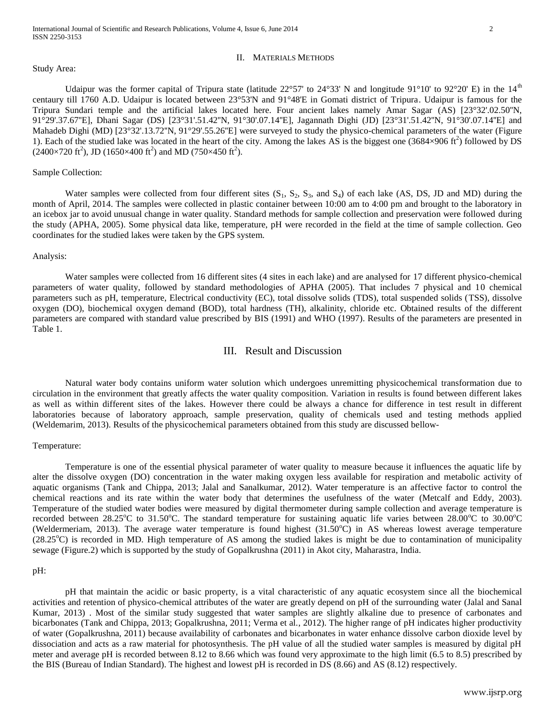#### II. MATERIALS METHODS

#### Study Area:

Udaipur was the former capital of Tripura state (latitude 22°57' to 24°33' N and longitude 91°10' to 92°20' E) in the 14<sup>th</sup> centaury till 1760 A.D. Udaipur is located between 23°53'N and 91°48'E in Gomati district of Tripura. Udaipur is famous for the Tripura Sundari temple and the artificial lakes located here. Four ancient lakes namely Amar Sagar (AS) [23°32'.02.50''N, 91°29'.37.67''E], Dhani Sagar (DS) [23°31'.51.42''N, 91°30'.07.14''E], Jagannath Dighi (JD) [23°31'.51.42''N, 91°30'.07.14''E] and Mahadeb Dighi (MD) [23°32'.13.72"N, 91°29'.55.26"E] were surveyed to study the physico-chemical parameters of the water (Figure 1). Each of the studied lake was located in the heart of the city. Among the lakes AS is the biggest one  $(3684\times906 \text{ ft}^2)$  followed by DS  $(2400\times720 \text{ ft}^2)$ , JD  $(1650\times400 \text{ ft}^2)$  and MD  $(750\times450 \text{ ft}^2)$ .

#### Sample Collection:

Water samples were collected from four different sites  $(S_1, S_2, S_3, \text{ and } S_4)$  of each lake (AS, DS, JD and MD) during the month of April, 2014. The samples were collected in plastic container between 10:00 am to 4:00 pm and brought to the laboratory in an icebox jar to avoid unusual change in water quality. Standard methods for sample collection and preservation were followed during the study (APHA, 2005). Some physical data like, temperature, pH were recorded in the field at the time of sample collection. Geo coordinates for the studied lakes were taken by the GPS system.

#### Analysis:

Water samples were collected from 16 different sites (4 sites in each lake) and are analysed for 17 different physico-chemical parameters of water quality, followed by standard methodologies of APHA (2005). That includes 7 physical and 10 chemical parameters such as pH, temperature, Electrical conductivity (EC), total dissolve solids (TDS), total suspended solids (TSS), dissolve oxygen (DO), biochemical oxygen demand (BOD), total hardness (TH), alkalinity, chloride etc. Obtained results of the different parameters are compared with standard value prescribed by BIS (1991) and WHO (1997). Results of the parameters are presented in Table 1.

## III. Result and Discussion

Natural water body contains uniform water solution which undergoes unremitting physicochemical transformation due to circulation in the environment that greatly affects the water quality composition. Variation in results is found between different lakes as well as within different sites of the lakes. However there could be always a chance for difference in test result in different laboratories because of laboratory approach, sample preservation, quality of chemicals used and testing methods applied (Weldemarim, 2013). Results of the physicochemical parameters obtained from this study are discussed bellow-

#### Temperature:

Temperature is one of the essential physical parameter of water quality to measure because it influences the aquatic life by alter the dissolve oxygen (DO) concentration in the water making oxygen less available for respiration and metabolic activity of aquatic organisms (Tank and Chippa, 2013; Jalal and Sanalkumar, 2012). Water temperature is an affective factor to control the chemical reactions and its rate within the water body that determines the usefulness of the water (Metcalf and Eddy, 2003). Temperature of the studied water bodies were measured by digital thermometer during sample collection and average temperature is recorded between 28.25 $\rm^{\circ}$ C to 31.50 $\rm^{\circ}$ C. The standard temperature for sustaining aquatic life varies between 28.00 $\rm^{\circ}$ C to 30.00 $\rm^{\circ}$ C (Weldermeriam, 2013). The average water temperature is found highest  $(31.50^{\circ}\text{C})$  in AS whereas lowest average temperature  $(28.25^{\circ}C)$  is recorded in MD. High temperature of AS among the studied lakes is might be due to contamination of municipality sewage (Figure.2) which is supported by the study of Gopalkrushna (2011) in Akot city, Maharastra, India.

#### pH:

pH that maintain the acidic or basic property, is a vital characteristic of any aquatic ecosystem since all the biochemical activities and retention of physico-chemical attributes of the water are greatly depend on pH of the surrounding water (Jalal and Sanal Kumar, 2013) . Most of the similar study suggested that water samples are slightly alkaline due to presence of carbonates and bicarbonates (Tank and Chippa, 2013; Gopalkrushna, 2011; Verma et al., 2012). The higher range of pH indicates higher productivity of water (Gopalkrushna, 2011) because availability of carbonates and bicarbonates in water enhance dissolve carbon dioxide level by dissociation and acts as a raw material for photosynthesis. The pH value of all the studied water samples is measured by digital pH meter and average pH is recorded between 8.12 to 8.66 which was found very approximate to the high limit (6.5 to 8.5) prescribed by the BIS (Bureau of Indian Standard). The highest and lowest pH is recorded in DS (8.66) and AS (8.12) respectively.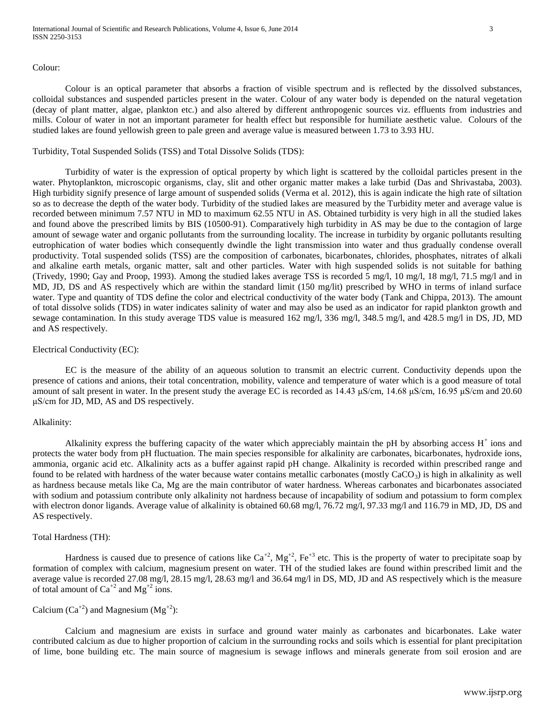#### Colour:

Colour is an optical parameter that absorbs a fraction of visible spectrum and is reflected by the dissolved substances, colloidal substances and suspended particles present in the water. Colour of any water body is depended on the natural vegetation (decay of plant matter, algae, plankton etc.) and also altered by different anthropogenic sources viz. effluents from industries and mills. Colour of water in not an important parameter for health effect but responsible for humiliate aesthetic value. Colours of the studied lakes are found yellowish green to pale green and average value is measured between 1.73 to 3.93 HU.

#### Turbidity, Total Suspended Solids (TSS) and Total Dissolve Solids (TDS):

Turbidity of water is the expression of optical property by which light is scattered by the colloidal particles present in the water. Phytoplankton, microscopic organisms, clay, slit and other organic matter makes a lake turbid (Das and Shrivastaba, 2003). High turbidity signify presence of large amount of suspended solids (Verma et al. 2012), this is again indicate the high rate of siltation so as to decrease the depth of the water body. Turbidity of the studied lakes are measured by the Turbidity meter and average value is recorded between minimum 7.57 NTU in MD to maximum 62.55 NTU in AS. Obtained turbidity is very high in all the studied lakes and found above the prescribed limits by BIS (10500-91). Comparatively high turbidity in AS may be due to the contagion of large amount of sewage water and organic pollutants from the surrounding locality. The increase in turbidity by organic pollutants resulting eutrophication of water bodies which consequently dwindle the light transmission into water and thus gradually condense overall productivity. Total suspended solids (TSS) are the composition of carbonates, bicarbonates, chlorides, phosphates, nitrates of alkali and alkaline earth metals, organic matter, salt and other particles. Water with high suspended solids is not suitable for bathing (Trivedy, 1990; Gay and Proop, 1993). Among the studied lakes average TSS is recorded 5 mg/l, 10 mg/l, 18 mg/l, 71.5 mg/l and in MD, JD, DS and AS respectively which are within the standard limit (150 mg/lit) prescribed by WHO in terms of inland surface water. Type and quantity of TDS define the color and electrical conductivity of the water body (Tank and Chippa, 2013). The amount of total dissolve solids (TDS) in water indicates salinity of water and may also be used as an indicator for rapid plankton growth and sewage contamination. In this study average TDS value is measured 162 mg/l, 336 mg/l, 348.5 mg/l, and 428.5 mg/l in DS, JD, MD and AS respectively.

#### Electrical Conductivity (EC):

EC is the measure of the ability of an aqueous solution to transmit an electric current. Conductivity depends upon the presence of cations and anions, their total concentration, mobility, valence and temperature of water which is a good measure of total amount of salt present in water. In the present study the average EC is recorded as 14.43 μS/cm, 14.68 μS/cm, 16.95 μS/cm and 20.60 μS/cm for JD, MD, AS and DS respectively.

#### Alkalinity:

Alkalinity express the buffering capacity of the water which appreciably maintain the pH by absorbing access  $H^+$  ions and protects the water body from pH fluctuation. The main species responsible for alkalinity are carbonates, bicarbonates, hydroxide ions, ammonia, organic acid etc. Alkalinity acts as a buffer against rapid pH change. Alkalinity is recorded within prescribed range and found to be related with hardness of the water because water contains metallic carbonates (mostly  $CaCO<sub>3</sub>$ ) is high in alkalinity as well as hardness because metals like Ca, Mg are the main contributor of water hardness. Whereas carbonates and bicarbonates associated with sodium and potassium contribute only alkalinity not hardness because of incapability of sodium and potassium to form complex with electron donor ligands. Average value of alkalinity is obtained 60.68 mg/l, 76.72 mg/l, 97.33 mg/l and 116.79 in MD, JD, DS and AS respectively.

#### Total Hardness (TH):

Hardness is caused due to presence of cations like  $Ca^{+2}$ ,  $Mg^{+2}$ , Fe<sup>+3</sup> etc. This is the property of water to precipitate soap by formation of complex with calcium, magnesium present on water. TH of the studied lakes are found within prescribed limit and the average value is recorded 27.08 mg/l, 28.15 mg/l, 28.63 mg/l and 36.64 mg/l in DS, MD, JD and AS respectively which is the measure of total amount of  $Ca^{+2}$  and  $Mg^{+2}$  ions.

# Calcium  $(Ca^{+2})$  and Magnesium  $(Mg^{+2})$ :

Calcium and magnesium are exists in surface and ground water mainly as carbonates and bicarbonates. Lake water contributed calcium as due to higher proportion of calcium in the surrounding rocks and soils which is essential for plant precipitation of lime, bone building etc. The main source of magnesium is sewage inflows and minerals generate from soil erosion and are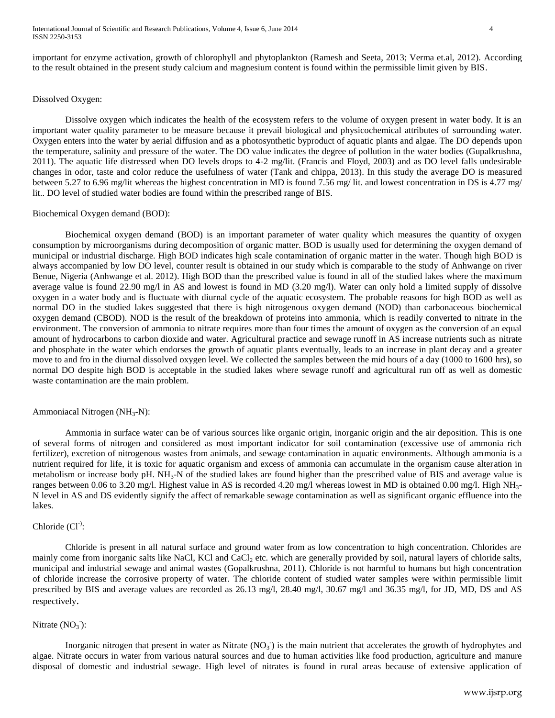International Journal of Scientific and Research Publications, Volume 4, Issue 6, June 2014 4 ISSN 2250-3153

important for enzyme activation, growth of chlorophyll and phytoplankton (Ramesh and Seeta, 2013; Verma et.al, 2012). According to the result obtained in the present study calcium and magnesium content is found within the permissible limit given by BIS.

#### Dissolved Oxygen:

Dissolve oxygen which indicates the health of the ecosystem refers to the volume of oxygen present in water body. It is an important water quality parameter to be measure because it prevail biological and physicochemical attributes of surrounding water. Oxygen enters into the water by aerial diffusion and as a photosynthetic byproduct of aquatic plants and algae. The DO depends upon the temperature, salinity and pressure of the water. The DO value indicates the degree of pollution in the water bodies (Gupalkrushna, 2011). The aquatic life distressed when DO levels drops to 4-2 mg/lit. (Francis and Floyd, 2003) and as DO level falls undesirable changes in odor, taste and color reduce the usefulness of water (Tank and chippa, 2013). In this study the average DO is measured between 5.27 to 6.96 mg/lit whereas the highest concentration in MD is found 7.56 mg/ lit. and lowest concentration in DS is 4.77 mg/ lit.. DO level of studied water bodies are found within the prescribed range of BIS.

#### Biochemical Oxygen demand (BOD):

Biochemical oxygen demand (BOD) is an important parameter of water quality which measures the quantity of oxygen consumption by microorganisms during decomposition of organic matter. BOD is usually used for determining the oxygen demand of municipal or industrial discharge. High BOD indicates high scale contamination of organic matter in the water. Though high BOD is always accompanied by low DO level, counter result is obtained in our study which is comparable to the study of Anhwange on river Benue, Nigeria (Anhwange et al. 2012). High BOD than the prescribed value is found in all of the studied lakes where the maximum average value is found 22.90 mg/l in AS and lowest is found in MD (3.20 mg/l). Water can only hold a limited supply of dissolve oxygen in a water body and is fluctuate with diurnal cycle of the aquatic ecosystem. The probable reasons for high BOD as well as normal DO in the studied lakes suggested that there is high nitrogenous oxygen demand (NOD) than carbonaceous biochemical oxygen demand (CBOD). NOD is the result of the breakdown of proteins into ammonia, which is readily converted to nitrate in the environment. The conversion of ammonia to nitrate requires more than four times the amount of oxygen as the conversion of an equal amount of hydrocarbons to carbon dioxide and water. Agricultural practice and sewage runoff in AS increase nutrients such as nitrate and phosphate in the water which endorses the growth of aquatic plants eventually, leads to an increase in plant decay and a greater move to and fro in the diurnal dissolved oxygen level. We collected the samples between the mid hours of a day (1000 to 1600 hrs), so normal DO despite high BOD is acceptable in the studied lakes where sewage runoff and agricultural run off as well as domestic waste contamination are the main problem.

#### Ammoniacal Nitrogen ( $NH<sub>3</sub>-N$ ):

Ammonia in surface water can be of various sources like organic origin, inorganic origin and the air deposition. This is one of several forms of nitrogen and considered as most important indicator for soil contamination (excessive use of ammonia rich fertilizer), excretion of nitrogenous wastes from animals, and sewage contamination in aquatic environments. Although ammonia is a nutrient required for life, it is toxic for aquatic organism and excess of ammonia can accumulate in the organism cause alteration in metabolism or increase body pH.  $NH_3-N$  of the studied lakes are found higher than the prescribed value of BIS and average value is ranges between 0.06 to 3.20 mg/l. Highest value in AS is recorded 4.20 mg/l whereas lowest in MD is obtained 0.00 mg/l. High NH<sub>3</sub>-N level in AS and DS evidently signify the affect of remarkable sewage contamination as well as significant organic effluence into the lakes.

## Chloride  $(Cl<sup>-</sup>)$ :

Chloride is present in all natural surface and ground water from as low concentration to high concentration. Chlorides are mainly come from inorganic salts like NaCl, KCl and CaCl<sub>2</sub> etc. which are generally provided by soil, natural layers of chloride salts, municipal and industrial sewage and animal wastes (Gopalkrushna, 2011). Chloride is not harmful to humans but high concentration of chloride increase the corrosive property of water. The chloride content of studied water samples were within permissible limit prescribed by BIS and average values are recorded as 26.13 mg/l, 28.40 mg/l, 30.67 mg/l and 36.35 mg/l, for JD, MD, DS and AS respectively.

# Nitrate  $(NO<sub>3</sub>)$ :

Inorganic nitrogen that present in water as Nitrate  $(NO<sub>3</sub>)$  is the main nutrient that accelerates the growth of hydrophytes and algae. Nitrate occurs in water from various natural sources and due to human activities like food production, agriculture and manure disposal of domestic and industrial sewage. High level of nitrates is found in rural areas because of extensive application of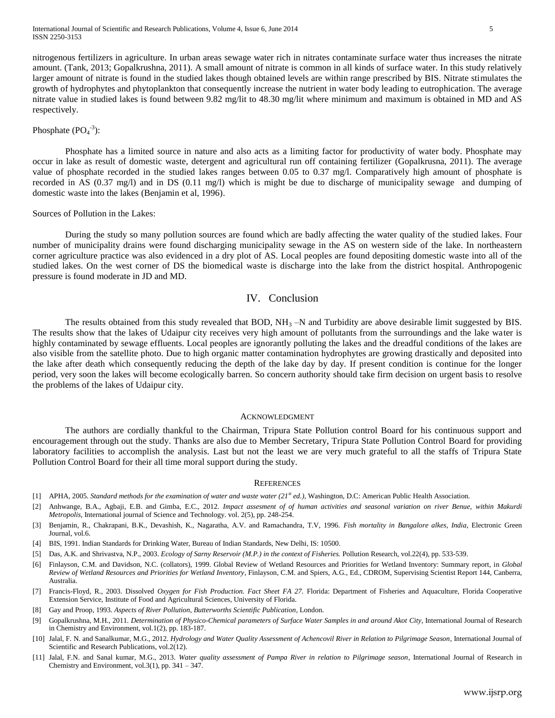nitrogenous fertilizers in agriculture. In urban areas sewage water rich in nitrates contaminate surface water thus increases the nitrate amount. (Tank, 2013; Gopalkrushna, 2011). A small amount of nitrate is common in all kinds of surface water. In this study relatively larger amount of nitrate is found in the studied lakes though obtained levels are within range prescribed by BIS. Nitrate stimulates the growth of hydrophytes and phytoplankton that consequently increase the nutrient in water body leading to eutrophication. The average nitrate value in studied lakes is found between 9.82 mg/lit to 48.30 mg/lit where minimum and maximum is obtained in MD and AS respectively.

# Phosphate  $(PO<sub>4</sub><sup>-3</sup>)$ :

Phosphate has a limited source in nature and also acts as a limiting factor for productivity of water body. Phosphate may occur in lake as result of domestic waste, detergent and agricultural run off containing fertilizer (Gopalkrusna, 2011). The average value of phosphate recorded in the studied lakes ranges between 0.05 to 0.37 mg/l. Comparatively high amount of phosphate is recorded in AS (0.37 mg/l) and in DS (0.11 mg/l) which is might be due to discharge of municipality sewage and dumping of domestic waste into the lakes (Benjamin et al, 1996).

#### Sources of Pollution in the Lakes:

During the study so many pollution sources are found which are badly affecting the water quality of the studied lakes. Four number of municipality drains were found discharging municipality sewage in the AS on western side of the lake. In northeastern corner agriculture practice was also evidenced in a dry plot of AS. Local peoples are found depositing domestic waste into all of the studied lakes. On the west corner of DS the biomedical waste is discharge into the lake from the district hospital. Anthropogenic pressure is found moderate in JD and MD.

## IV. Conclusion

The results obtained from this study revealed that BOD,  $NH<sub>3</sub> - N$  and Turbidity are above desirable limit suggested by BIS. The results show that the lakes of Udaipur city receives very high amount of pollutants from the surroundings and the lake water is highly contaminated by sewage effluents. Local peoples are ignorantly polluting the lakes and the dreadful conditions of the lakes are also visible from the satellite photo. Due to high organic matter contamination hydrophytes are growing drastically and deposited into the lake after death which consequently reducing the depth of the lake day by day. If present condition is continue for the longer period, very soon the lakes will become ecologically barren. So concern authority should take firm decision on urgent basis to resolve the problems of the lakes of Udaipur city.

#### ACKNOWLEDGMENT

The authors are cordially thankful to the Chairman, Tripura State Pollution control Board for his continuous support and encouragement through out the study. Thanks are also due to Member Secretary, Tripura State Pollution Control Board for providing laboratory facilities to accomplish the analysis. Last but not the least we are very much grateful to all the staffs of Tripura State Pollution Control Board for their all time moral support during the study.

#### **REFERENCES**

- [1] APHA, 2005. *Standard methods for the examination of water and waste water (21st ed.),* Washington, D.C: American Public Health Association.
- [2] Anhwange, B.A., Agbaji, E.B. and Gimba, E.C., 2012. *Impact assesment of of human activities and seasonal variation on river Benue, within Makurdi Metropolis,* International journal of Science and Technology. vol. 2(5), pp. 248-254.
- [3] Benjamin, R., Chakrapani, B.K., Devashish, K., Nagaratha, A.V. and Ramachandra, T.V, 1996. *Fish mortality in Bangalore alkes, India*, Electronic Green Journal, vol.6.
- [4] BIS, 1991. Indian Standards for Drinking Water, Bureau of Indian Standards, New Delhi, IS: 10500.
- [5] Das, A.K. and Shrivastva, N.P., 2003. *Ecology of Sarny Reservoir (M.P.) in the context of Fisheries.* Pollution Research, vol.22(4), pp. 533-539.
- [6] Finlayson, C.M. and Davidson, N.C. (collators), 1999. Global Review of Wetland Resources and Priorities for Wetland Inventory: Summary report, in *Global Review of Wetland Resources and Priorities for Wetland Inventory*, Finlayson, C.M. and Spiers, A.G., Ed., CDROM, Supervising Scientist Report 144, Canberra, Australia.
- [7] Francis-Floyd, R., 2003. Dissolved *Oxygen for Fish Production. Fact Sheet FA 27*. Florida: Department of Fisheries and Aquaculture, Florida Cooperative Extension Service, Institute of Food and Agricultural Sciences, University of Florida.
- [8] Gay and Proop, 1993. *Aspects of River Pollution*, *Butterworths Scientific Publication*, London.
- [9] Gopalkrushna, M.H., 2011. *Determination of Physico-Chemical parameters of Surface Water Samples in and around Akot City,* International Journal of Research in Chemistry and Environment, vol.1(2), pp. 183-187.
- [10] Jalal, F. N. and Sanalkumar, M.G., 2012. *Hydrology and Water Quality Assessment of Achencovil River in Relation to Pilgrimage Season*, International Journal of Scientific and Research Publications, vol.2(12).
- [11] Jalal, F.N. and Sanal kumar, M.G., 2013. *Water quality assessment of Pampa River in relation to Pilgrimage season*, International Journal of Research in Chemistry and Environment, vol.3(1), pp. 341 – 347.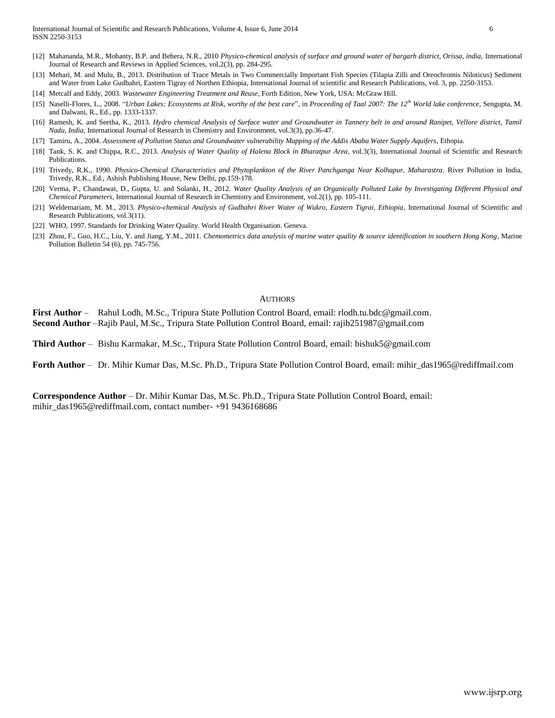- [12] Mahananda, M.R., Mohanty, B.P. and Behera, N.R., 2010 *Physico-chemical analysis of surface and ground water of bargarh district, Orissa, india, International* Journal of Research and Reviews in Applied Sciences, vol.2(3), pp. 284-295.
- [13] Mehari, M. and Mulu, B., 2013. Distribution of Trace Metals in Two Commercially Important Fish Species (Tilapia Zilli and Oreochromis Niloticus) Sediment and Water from Lake Gudbahri, Eastern Tigray of Northen Ethiopia, International Journal of scientific and Research Publications, vol. 3, pp. 2250-3153.
- [14] Metcalf and Eddy, 2003. *Wastewater Engineering Treatment and Reuse*, Forth Edition, New York, USA: McGraw Hill.
- [15] Naselli-Flores, L., 2008. "*Urban Lakes: Ecosystems at Risk, worthy of the best care*", in *Proceeding of Taal 2007: The 12th World lake conference*, Sengupta, M. and Dalwani, R., Ed., pp. 1333-1337.
- [16] Ramesh, K. and Seetha, K., 2013. *Hydro chemical Analysis of Surface water and Groundwater in Tannery belt in and around Ranipet, Vellore district, Tamil Nadu, India,* International Journal of Research in Chemistry and Environment, vol.3(3), pp.36-47.
- [17] Tamiru, A., 2004. *Assessment of Pollution Status and Groundwater vulnerability Mapping of the Addis Ababa Water Supply Aquifers*, Ethopia.
- [18] Tank, S. K. and Chippa, R.C., 2013. *Analysis of Water Quality of Halena Block in Bharatpur Area*, vol.3(3), International Journal of Scientific and Research Publications.
- [19] Trivedy, R.K., 1990. *Physico-Chemical Characteristics and Phytoplankton of the River Panchganga Near Kolhapur, Maharastra*. River Pollution in India, Trivedy, R.K., Ed., Ashish Publishing House, New Delhi, pp.159-178.
- [20] Verma, P., Chandawat, D., Gupta, U. and Solanki, H., 2012. *Water Quality Analysis of an Organically Polluted Lake by Investigating Different Physical and Chemical Parameters*, International Journal of Research in Chemistry and Environment, vol.2(1), pp. 105-111.
- [21] Weldemariam, M. M., 2013. *Physico-chemical Analysis of Gudbahri River Water of Wukro, Eastern Tigrai, Ethiopia*, International Journal of Scientific and Research Publications, vol.3(11).
- [22] WHO, 1997. Standards for Drinking Water Quality. World Health Organisation. Geneva.
- [23] Zhou, F., Guo, H.C., Liu, Y. and Jiang, Y.M., 2011. *Chemometrics data analysis of marine water quality & source identification in southern Hong Kong*, Marine Pollution Bulletin 54 (6), pp. 745-756.

#### AUTHORS

**First Author** – Rahul Lodh, M.Sc., Tripura State Pollution Control Board, email: rlodh.tu.bdc@gmail.com. **Second Author** –Rajib Paul, M.Sc., Tripura State Pollution Control Board, email: rajib251987@gmail.com

**Third Author** – Bishu Karmakar, M.Sc., Tripura State Pollution Control Board, email: bishuk5@gmail.com

**Forth Author** – Dr. Mihir Kumar Das, M.Sc. Ph.D., Tripura State Pollution Control Board, email: mihir\_das1965@rediffmail.com

**Correspondence Author** – Dr. Mihir Kumar Das, M.Sc. Ph.D., Tripura State Pollution Control Board, email: mihir\_das1965@rediffmail.com, contact number- +91 9436168686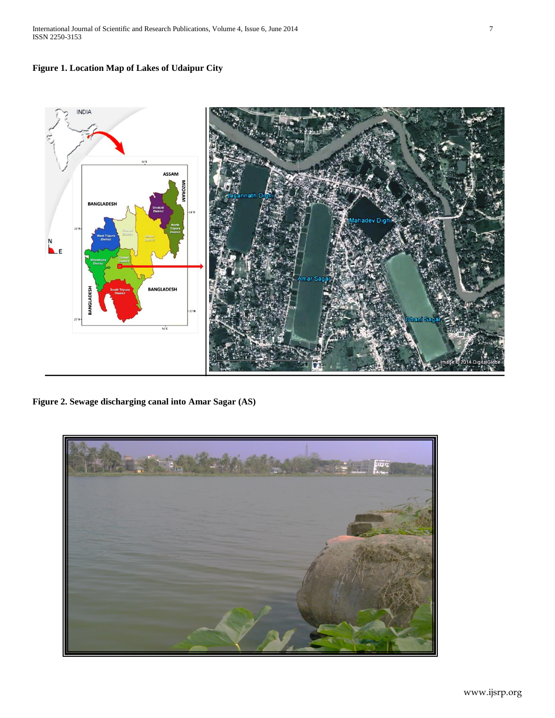



**Figure 2. Sewage discharging canal into Amar Sagar (AS)**

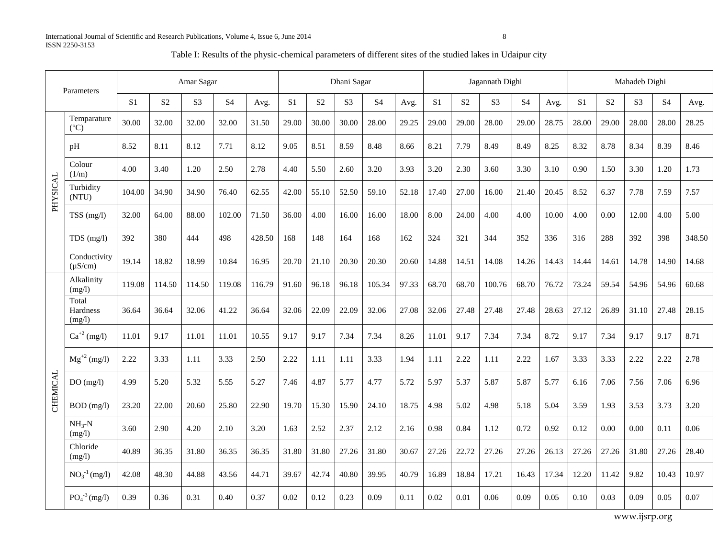| Table I: Results of the physic-chemical parameters of different sites of the studied lakes in Udaipur city |  |  |  |
|------------------------------------------------------------------------------------------------------------|--|--|--|
|------------------------------------------------------------------------------------------------------------|--|--|--|

| Parameters |                              | Amar Sagar     |                |                |                |        | Dhani Sagar    |                |                |                |       |                |                | Jagannath Dighi |                | Mahadeb Dighi |                |                |                |                |        |
|------------|------------------------------|----------------|----------------|----------------|----------------|--------|----------------|----------------|----------------|----------------|-------|----------------|----------------|-----------------|----------------|---------------|----------------|----------------|----------------|----------------|--------|
|            |                              | S <sub>1</sub> | S <sub>2</sub> | S <sub>3</sub> | S <sub>4</sub> | Avg.   | S <sub>1</sub> | S <sub>2</sub> | S <sub>3</sub> | S <sub>4</sub> | Avg.  | S <sub>1</sub> | S <sub>2</sub> | S <sub>3</sub>  | S <sub>4</sub> | Avg.          | S <sub>1</sub> | S <sub>2</sub> | S <sub>3</sub> | S <sub>4</sub> | Avg.   |
| PHYSICAL   | Temparature<br>$(^{\circ}C)$ | 30.00          | 32.00          | 32.00          | 32.00          | 31.50  | 29.00          | 30.00          | 30.00          | 28.00          | 29.25 | 29.00          | 29.00          | 28.00           | 29.00          | 28.75         | 28.00          | 29.00          | 28.00          | 28.00          | 28.25  |
|            | pH                           | 8.52           | 8.11           | 8.12           | 7.71           | 8.12   | 9.05           | 8.51           | 8.59           | 8.48           | 8.66  | 8.21           | 7.79           | 8.49            | 8.49           | 8.25          | 8.32           | 8.78           | 8.34           | 8.39           | 8.46   |
|            | Colour<br>(1/m)              | 4.00           | 3.40           | 1.20           | 2.50           | 2.78   | 4.40           | 5.50           | 2.60           | 3.20           | 3.93  | 3.20           | 2.30           | 3.60            | 3.30           | 3.10          | 0.90           | 1.50           | 3.30           | 1.20           | 1.73   |
|            | Turbidity<br>(NTU)           | 104.00         | 34.90          | 34.90          | 76.40          | 62.55  | 42.00          | 55.10          | 52.50          | 59.10          | 52.18 | 17.40          | 27.00          | 16.00           | 21.40          | 20.45         | 8.52           | 6.37           | 7.78           | 7.59           | 7.57   |
|            | TSS (mg/l)                   | 32.00          | 64.00          | 88.00          | 102.00         | 71.50  | 36.00          | 4.00           | 16.00          | 16.00          | 18.00 | 8.00           | 24.00          | 4.00            | 4.00           | 10.00         | 4.00           | 0.00           | 12.00          | 4.00           | 5.00   |
|            | $TDS$ (mg/l)                 | 392            | 380            | 444            | 498            | 428.50 | 168            | 148            | 164            | 168            | 162   | 324            | 321            | 344             | 352            | 336           | 316            | 288            | 392            | 398            | 348.50 |
|            | Conductivity<br>$(\mu S/cm)$ | 19.14          | 18.82          | 18.99          | 10.84          | 16.95  | 20.70          | 21.10          | 20.30          | 20.30          | 20.60 | 14.88          | 14.51          | 14.08           | 14.26          | 14.43         | 14.44          | 14.61          | 14.78          | 14.90          | 14.68  |
| CHEMICAL   | Alkalinity<br>(mg/l)         | 119.08         | 114.50         | 114.50         | 119.08         | 116.79 | 91.60          | 96.18          | 96.18          | 105.34         | 97.33 | 68.70          | 68.70          | 100.76          | 68.70          | 76.72         | 73.24          | 59.54          | 54.96          | 54.96          | 60.68  |
|            | Total<br>Hardness<br>(mg/l)  | 36.64          | 36.64          | 32.06          | 41.22          | 36.64  | 32.06          | 22.09          | 22.09          | 32.06          | 27.08 | 32.06          | 27.48          | 27.48           | 27.48          | 28.63         | 27.12          | 26.89          | 31.10          | 27.48          | 28.15  |
|            | $Ca^{+2} (mg/l)$             | 11.01          | 9.17           | 11.01          | 11.01          | 10.55  | 9.17           | 9.17           | 7.34           | 7.34           | 8.26  | 11.01          | 9.17           | 7.34            | 7.34           | 8.72          | 9.17           | 7.34           | 9.17           | 9.17           | 8.71   |
|            | $Mg^{+2}$ (mg/l)             | 2.22           | 3.33           | 1.11           | 3.33           | 2.50   | 2.22           | 1.11           | 1.11           | 3.33           | 1.94  | 1.11           | 2.22           | 1.11            | 2.22           | 1.67          | 3.33           | 3.33           | 2.22           | 2.22           | 2.78   |
|            | DO(mg/l)                     | 4.99           | 5.20           | 5.32           | 5.55           | 5.27   | 7.46           | 4.87           | 5.77           | 4.77           | 5.72  | 5.97           | 5.37           | 5.87            | 5.87           | 5.77          | 6.16           | 7.06           | 7.56           | 7.06           | 6.96   |
|            | BOD (mg/l)                   | 23.20          | 22.00          | 20.60          | 25.80          | 22.90  | 19.70          | 15.30          | 15.90          | 24.10          | 18.75 | 4.98           | 5.02           | 4.98            | 5.18           | 5.04          | 3.59           | 1.93           | 3.53           | 3.73           | 3.20   |
|            | $NH3-N$<br>(mg/l)            | 3.60           | 2.90           | 4.20           | 2.10           | 3.20   | 1.63           | 2.52           | 2.37           | 2.12           | 2.16  | 0.98           | 0.84           | 1.12            | 0.72           | 0.92          | 0.12           | 0.00           | 0.00           | 0.11           | 0.06   |
|            | Chloride<br>(mg/l)           | 40.89          | 36.35          | 31.80          | 36.35          | 36.35  | 31.80          | 31.80          | 27.26          | 31.80          | 30.67 | 27.26          | 22.72          | 27.26           | 27.26          | 26.13         | 27.26          | 27.26          | 31.80          | 27.26          | 28.40  |
|            | $NO_3^{-1}$ (mg/l)           | 42.08          | 48.30          | 44.88          | 43.56          | 44.71  | 39.67          | 42.74          | 40.80          | 39.95          | 40.79 | 16.89          | 18.84          | 17.21           | 16.43          | 17.34         | 12.20          | 11.42          | 9.82           | 10.43          | 10.97  |
|            | $PO4-3 (mg/l)$               | 0.39           | 0.36           | 0.31           | 0.40           | 0.37   | 0.02           | 0.12           | 0.23           | 0.09           | 0.11  | 0.02           | 0.01           | 0.06            | 0.09           | 0.05          | 0.10           | 0.03           | 0.09           | 0.05           | 0.07   |

www.ijsrp.org